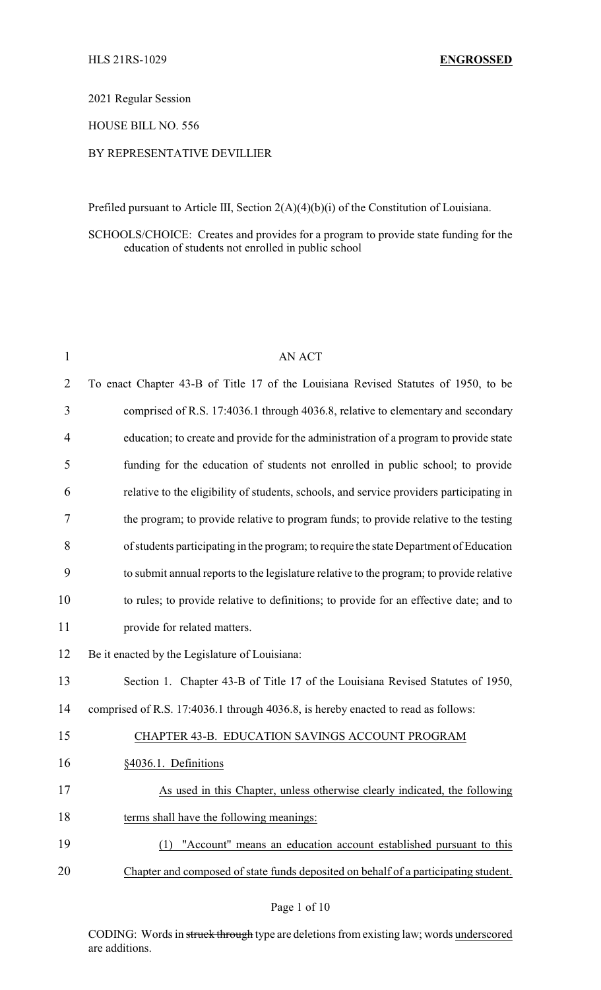#### 2021 Regular Session

### HOUSE BILL NO. 556

### BY REPRESENTATIVE DEVILLIER

Prefiled pursuant to Article III, Section 2(A)(4)(b)(i) of the Constitution of Louisiana.

# SCHOOLS/CHOICE: Creates and provides for a program to provide state funding for the education of students not enrolled in public school

| 1  | <b>AN ACT</b>                                                                            |
|----|------------------------------------------------------------------------------------------|
| 2  | To enact Chapter 43-B of Title 17 of the Louisiana Revised Statutes of 1950, to be       |
| 3  | comprised of R.S. 17:4036.1 through 4036.8, relative to elementary and secondary         |
| 4  | education; to create and provide for the administration of a program to provide state    |
| 5  | funding for the education of students not enrolled in public school; to provide          |
| 6  | relative to the eligibility of students, schools, and service providers participating in |
| 7  | the program; to provide relative to program funds; to provide relative to the testing    |
| 8  | of students participating in the program; to require the state Department of Education   |
| 9  | to submit annual reports to the legislature relative to the program; to provide relative |
| 10 | to rules; to provide relative to definitions; to provide for an effective date; and to   |
| 11 | provide for related matters.                                                             |
| 12 | Be it enacted by the Legislature of Louisiana:                                           |
| 13 | Section 1. Chapter 43-B of Title 17 of the Louisiana Revised Statutes of 1950,           |
| 14 | comprised of R.S. 17:4036.1 through 4036.8, is hereby enacted to read as follows:        |
| 15 | CHAPTER 43-B. EDUCATION SAVINGS ACCOUNT PROGRAM                                          |
| 16 | §4036.1. Definitions                                                                     |
| 17 | As used in this Chapter, unless otherwise clearly indicated, the following               |
| 18 | terms shall have the following meanings:                                                 |
| 19 | (1) "Account" means an education account established pursuant to this                    |
| 20 | Chapter and composed of state funds deposited on behalf of a participating student.      |
|    |                                                                                          |

CODING: Words in struck through type are deletions from existing law; words underscored are additions.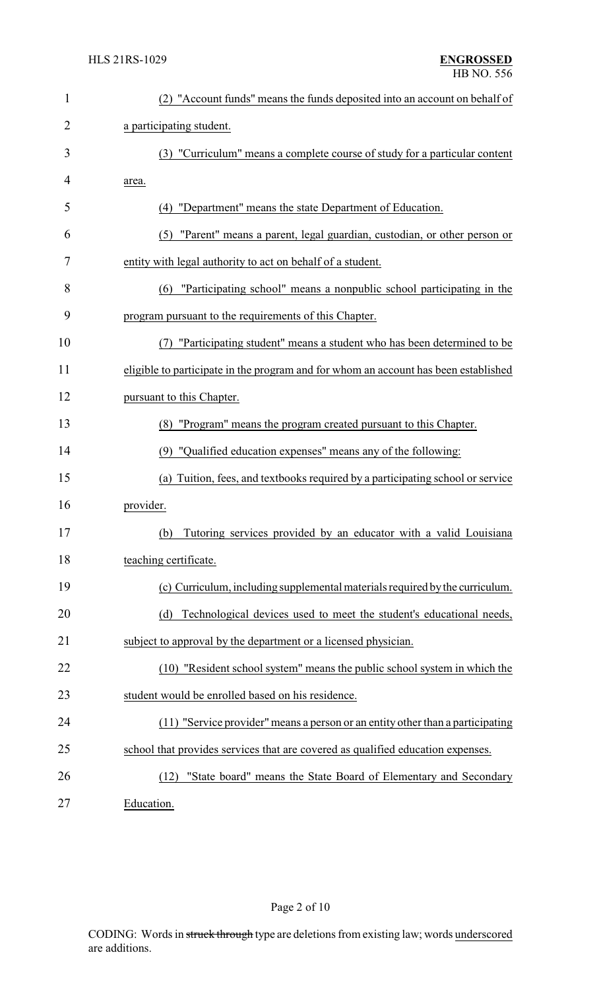| $\mathbf{1}$ | (2) "Account funds" means the funds deposited into an account on behalf of          |  |
|--------------|-------------------------------------------------------------------------------------|--|
| 2            | a participating student.                                                            |  |
| 3            | (3) "Curriculum" means a complete course of study for a particular content          |  |
| 4            | area.                                                                               |  |
| 5            | "Department" means the state Department of Education.<br>(4)                        |  |
| 6            | "Parent" means a parent, legal guardian, custodian, or other person or<br>(5)       |  |
| 7            | entity with legal authority to act on behalf of a student.                          |  |
| 8            | (6) "Participating school" means a nonpublic school participating in the            |  |
| 9            | program pursuant to the requirements of this Chapter.                               |  |
| 10           | "Participating student" means a student who has been determined to be               |  |
| 11           | eligible to participate in the program and for whom an account has been established |  |
| 12           | pursuant to this Chapter.                                                           |  |
| 13           | (8) "Program" means the program created pursuant to this Chapter.                   |  |
| 14           | (9) "Qualified education expenses" means any of the following:                      |  |
| 15           | Tuition, fees, and textbooks required by a participating school or service<br>(a)   |  |
| 16           | provider.                                                                           |  |
| 17           | (b) Tutoring services provided by an educator with a valid Louisiana                |  |
| 18           | teaching certificate.                                                               |  |
| 19           | (c) Curriculum, including supplemental materials required by the curriculum.        |  |
| 20           | Technological devices used to meet the student's educational needs,<br>(d)          |  |
| 21           | subject to approval by the department or a licensed physician.                      |  |
| 22           | (10) "Resident school system" means the public school system in which the           |  |
| 23           | student would be enrolled based on his residence.                                   |  |
| 24           | (11) "Service provider" means a person or an entity other than a participating      |  |
| 25           | school that provides services that are covered as qualified education expenses.     |  |
| 26           | "State board" means the State Board of Elementary and Secondary<br>(12)             |  |
| 27           | Education.                                                                          |  |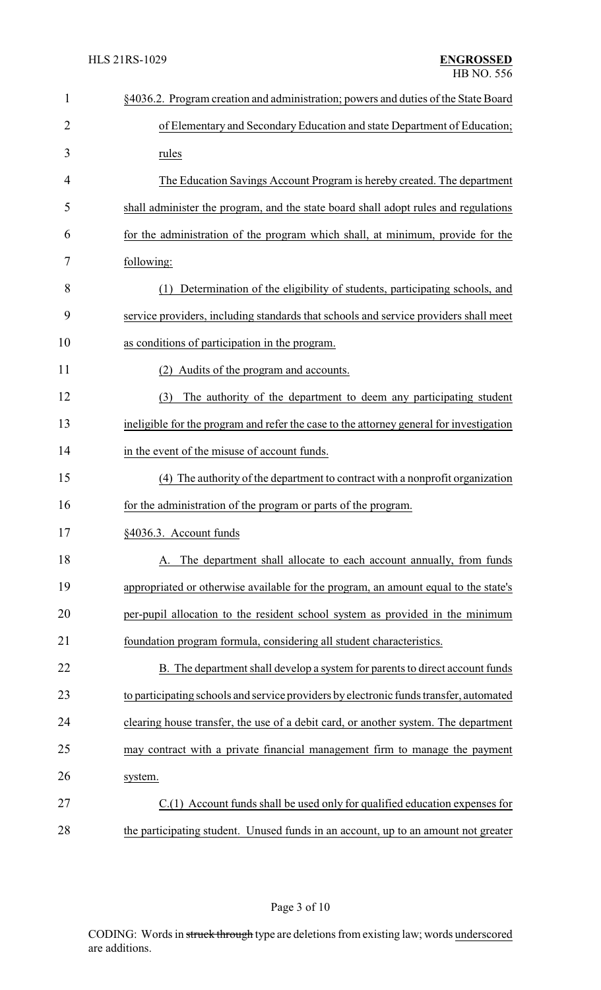| $\mathbf{1}$   | §4036.2. Program creation and administration; powers and duties of the State Board      |
|----------------|-----------------------------------------------------------------------------------------|
| $\overline{2}$ | of Elementary and Secondary Education and state Department of Education;                |
| 3              | rules                                                                                   |
| 4              | The Education Savings Account Program is hereby created. The department                 |
| 5              | shall administer the program, and the state board shall adopt rules and regulations     |
| 6              | for the administration of the program which shall, at minimum, provide for the          |
| 7              | following:                                                                              |
| 8              | Determination of the eligibility of students, participating schools, and<br>(1)         |
| 9              | service providers, including standards that schools and service providers shall meet    |
| 10             | as conditions of participation in the program.                                          |
| 11             | (2) Audits of the program and accounts.                                                 |
| 12             | The authority of the department to deem any participating student<br>(3)                |
| 13             | ineligible for the program and refer the case to the attorney general for investigation |
| 14             | in the event of the misuse of account funds.                                            |
| 15             | The authority of the department to contract with a nonprofit organization<br>(4)        |
| 16             | for the administration of the program or parts of the program.                          |
| 17             | §4036.3. Account funds                                                                  |
| 18             | A. The department shall allocate to each account annually, from funds                   |
| 19             | appropriated or otherwise available for the program, an amount equal to the state's     |
| 20             | per-pupil allocation to the resident school system as provided in the minimum           |
| 21             | foundation program formula, considering all student characteristics.                    |
| 22             | B. The department shall develop a system for parents to direct account funds            |
| 23             | to participating schools and service providers by electronic funds transfer, automated  |
| 24             | clearing house transfer, the use of a debit card, or another system. The department     |
| 25             | may contract with a private financial management firm to manage the payment             |
| 26             | system.                                                                                 |
| 27             | $C(1)$ Account funds shall be used only for qualified education expenses for            |
| 28             | the participating student. Unused funds in an account, up to an amount not greater      |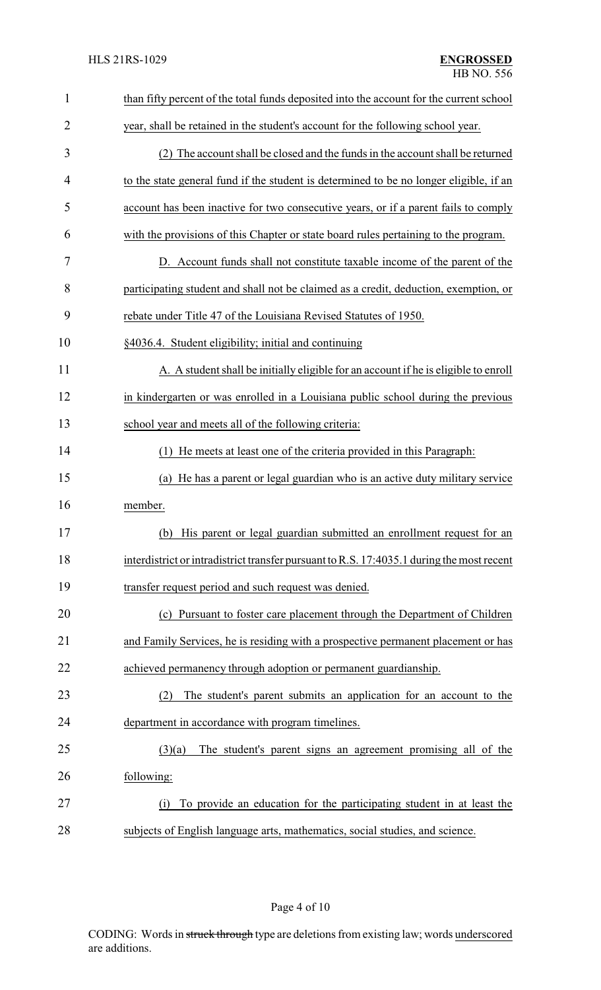| $\mathbf{1}$ | than fifty percent of the total funds deposited into the account for the current school   |
|--------------|-------------------------------------------------------------------------------------------|
| 2            | year, shall be retained in the student's account for the following school year.           |
| 3            | (2) The account shall be closed and the funds in the account shall be returned            |
| 4            | to the state general fund if the student is determined to be no longer eligible, if an    |
| 5            | account has been inactive for two consecutive years, or if a parent fails to comply       |
| 6            | with the provisions of this Chapter or state board rules pertaining to the program.       |
| 7            | D. Account funds shall not constitute taxable income of the parent of the                 |
| 8            | participating student and shall not be claimed as a credit, deduction, exemption, or      |
| 9            | rebate under Title 47 of the Louisiana Revised Statutes of 1950.                          |
| 10           | §4036.4. Student eligibility; initial and continuing                                      |
| 11           | A. A student shall be initially eligible for an account if he is eligible to enroll       |
| 12           | in kindergarten or was enrolled in a Louisiana public school during the previous          |
| 13           | school year and meets all of the following criteria:                                      |
| 14           | He meets at least one of the criteria provided in this Paragraph:<br>(1)                  |
| 15           | He has a parent or legal guardian who is an active duty military service<br>(a)           |
| 16           | member.                                                                                   |
| 17           | (b) His parent or legal guardian submitted an enrollment request for an                   |
| 18           | interdistrict or intradistrict transfer pursuant to R.S. 17:4035.1 during the most recent |
| 19           | transfer request period and such request was denied.                                      |
| 20           | (c) Pursuant to foster care placement through the Department of Children                  |
| 21           | and Family Services, he is residing with a prospective permanent placement or has         |
| 22           | achieved permanency through adoption or permanent guardianship.                           |
| 23           | The student's parent submits an application for an account to the<br>(2)                  |
| 24           | department in accordance with program timelines.                                          |
| 25           | The student's parent signs an agreement promising all of the<br>(3)(a)                    |
| 26           | following:                                                                                |
| 27           | To provide an education for the participating student in at least the<br>(i)              |
| 28           | subjects of English language arts, mathematics, social studies, and science.              |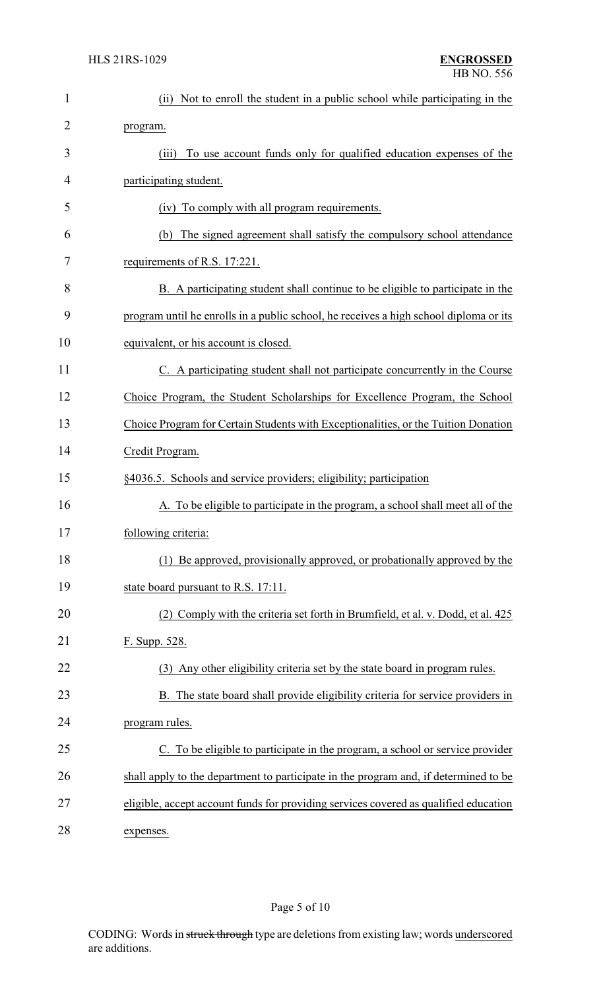| 1              | (ii) Not to enroll the student in a public school while participating in the          |  |  |
|----------------|---------------------------------------------------------------------------------------|--|--|
| $\overline{c}$ | program.                                                                              |  |  |
| 3              | To use account funds only for qualified education expenses of the<br>(iii)            |  |  |
| 4              | participating student.                                                                |  |  |
| 5              | (iv) To comply with all program requirements.                                         |  |  |
| 6              | The signed agreement shall satisfy the compulsory school attendance<br>(b)            |  |  |
| 7              | requirements of R.S. 17:221.                                                          |  |  |
| 8              | B. A participating student shall continue to be eligible to participate in the        |  |  |
| 9              | program until he enrolls in a public school, he receives a high school diploma or its |  |  |
| 10             | equivalent, or his account is closed.                                                 |  |  |
| 11             | C. A participating student shall not participate concurrently in the Course           |  |  |
| 12             | Choice Program, the Student Scholarships for Excellence Program, the School           |  |  |
| 13             | Choice Program for Certain Students with Exceptionalities, or the Tuition Donation    |  |  |
| 14             | Credit Program.                                                                       |  |  |
| 15             | §4036.5. Schools and service providers; eligibility; participation                    |  |  |
| 16             | A. To be eligible to participate in the program, a school shall meet all of the       |  |  |
| 17             | following criteria:                                                                   |  |  |
| 18             | (1) Be approved, provisionally approved, or probationally approved by the             |  |  |
| 19             | state board pursuant to R.S. 17:11.                                                   |  |  |
| 20             | (2) Comply with the criteria set forth in Brumfield, et al. v. Dodd, et al. 425       |  |  |
| 21             | F. Supp. 528.                                                                         |  |  |
| 22             | (3) Any other eligibility criteria set by the state board in program rules.           |  |  |
| 23             | B. The state board shall provide eligibility criteria for service providers in        |  |  |
| 24             | program rules.                                                                        |  |  |
| 25             | C. To be eligible to participate in the program, a school or service provider         |  |  |
| 26             | shall apply to the department to participate in the program and, if determined to be  |  |  |
| 27             | eligible, accept account funds for providing services covered as qualified education  |  |  |
| 28             | expenses.                                                                             |  |  |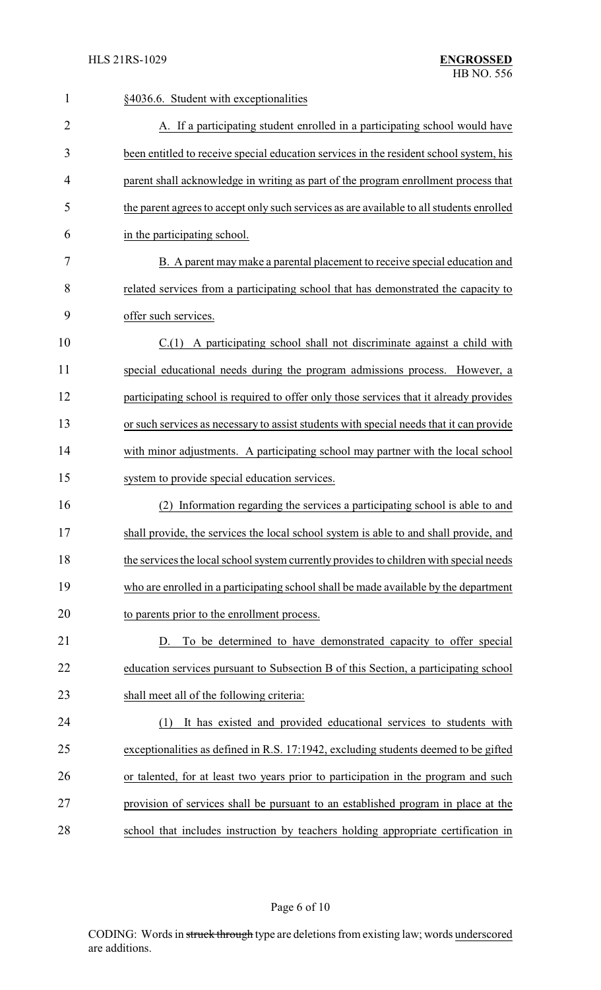| $\mathbf{1}$   | §4036.6. Student with exceptionalities                                                   |
|----------------|------------------------------------------------------------------------------------------|
| $\overline{2}$ | A. If a participating student enrolled in a participating school would have              |
| 3              | been entitled to receive special education services in the resident school system, his   |
| 4              | parent shall acknowledge in writing as part of the program enrollment process that       |
| 5              | the parent agrees to accept only such services as are available to all students enrolled |
| 6              | in the participating school.                                                             |
| 7              | B. A parent may make a parental placement to receive special education and               |
| 8              | related services from a participating school that has demonstrated the capacity to       |
| 9              | offer such services.                                                                     |
| 10             | $C(1)$ A participating school shall not discriminate against a child with                |
| 11             | special educational needs during the program admissions process. However, a              |
| 12             | participating school is required to offer only those services that it already provides   |
| 13             | or such services as necessary to assist students with special needs that it can provide  |
| 14             | with minor adjustments. A participating school may partner with the local school         |
| 15             | system to provide special education services.                                            |
| 16             | Information regarding the services a participating school is able to and<br>(2)          |
| 17             | shall provide, the services the local school system is able to and shall provide, and    |
| 18             | the services the local school system currently provides to children with special needs   |
| 19             | who are enrolled in a participating school shall be made available by the department     |
| 20             | to parents prior to the enrollment process.                                              |
| 21             | To be determined to have demonstrated capacity to offer special<br>D.                    |
| 22             | education services pursuant to Subsection B of this Section, a participating school      |
| 23             | shall meet all of the following criteria:                                                |
| 24             | It has existed and provided educational services to students with<br>(1)                 |
| 25             | exceptionalities as defined in R.S. 17:1942, excluding students deemed to be gifted      |
| 26             | or talented, for at least two years prior to participation in the program and such       |
| 27             | provision of services shall be pursuant to an established program in place at the        |
| 28             | school that includes instruction by teachers holding appropriate certification in        |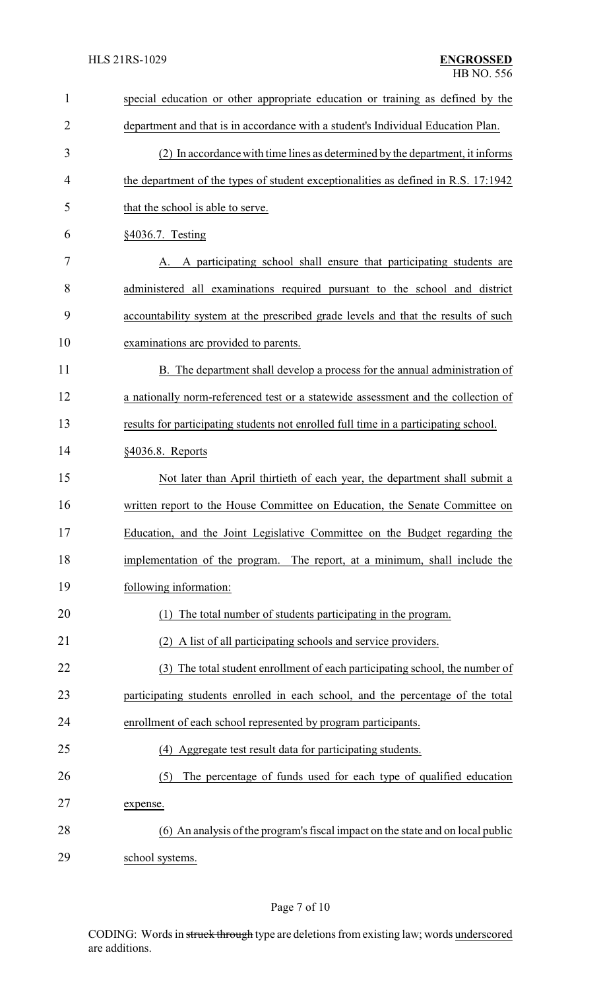| $\mathbf{1}$   | special education or other appropriate education or training as defined by the       |  |
|----------------|--------------------------------------------------------------------------------------|--|
| $\overline{2}$ | department and that is in accordance with a student's Individual Education Plan.     |  |
| 3              | (2) In accordance with time lines as determined by the department, it informs        |  |
| $\overline{4}$ | the department of the types of student exceptionalities as defined in R.S. 17:1942   |  |
| 5              | that the school is able to serve.                                                    |  |
| 6              | §4036.7. Testing                                                                     |  |
| 7              | A participating school shall ensure that participating students are                  |  |
| 8              | administered all examinations required pursuant to the school and district           |  |
| 9              | accountability system at the prescribed grade levels and that the results of such    |  |
| 10             | examinations are provided to parents.                                                |  |
| 11             | B. The department shall develop a process for the annual administration of           |  |
| 12             | a nationally norm-referenced test or a statewide assessment and the collection of    |  |
| 13             | results for participating students not enrolled full time in a participating school. |  |
| 14             | §4036.8. Reports                                                                     |  |
| 15             | Not later than April thirtieth of each year, the department shall submit a           |  |
| 16             | written report to the House Committee on Education, the Senate Committee on          |  |
| 17             | Education, and the Joint Legislative Committee on the Budget regarding the           |  |
| 18             | implementation of the program. The report, at a minimum, shall include the           |  |
| 19             | following information:                                                               |  |
| 20             | The total number of students participating in the program.                           |  |
| 21             | A list of all participating schools and service providers.<br>(2)                    |  |
| 22             | (3) The total student enrollment of each participating school, the number of         |  |
| 23             | participating students enrolled in each school, and the percentage of the total      |  |
| 24             | enrollment of each school represented by program participants.                       |  |
| 25             | (4) Aggregate test result data for participating students.                           |  |
| 26             | The percentage of funds used for each type of qualified education<br>(5)             |  |
| 27             | expense.                                                                             |  |
| 28             | (6) An analysis of the program's fiscal impact on the state and on local public      |  |
| 29             | school systems.                                                                      |  |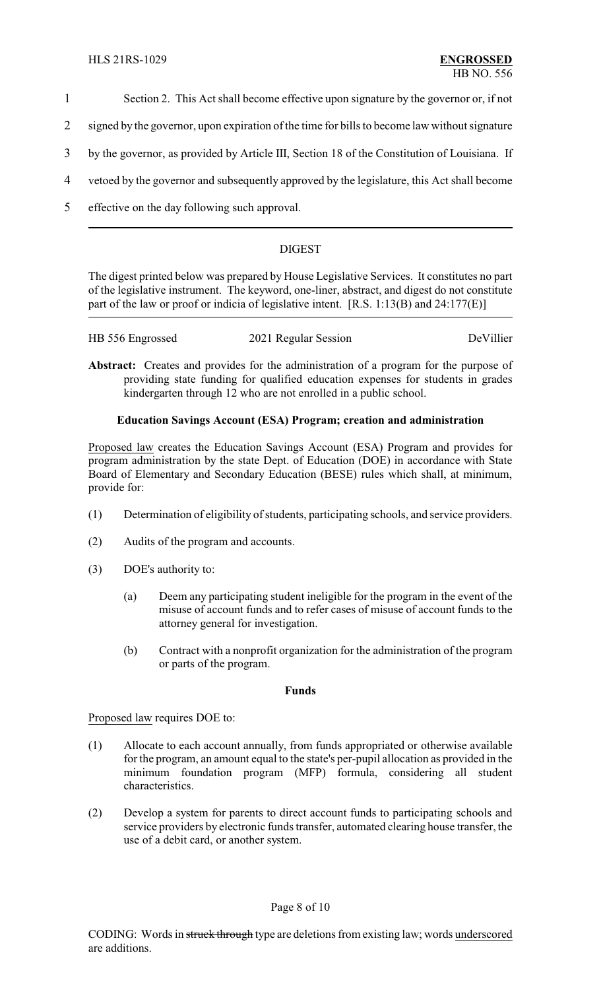- 1 Section 2. This Act shall become effective upon signature by the governor or, if not
- 2 signed by the governor, upon expiration of the time for bills to become law without signature
- 3 by the governor, as provided by Article III, Section 18 of the Constitution of Louisiana. If
- 4 vetoed by the governor and subsequently approved by the legislature, this Act shall become
- 5 effective on the day following such approval.

# DIGEST

The digest printed below was prepared by House Legislative Services. It constitutes no part of the legislative instrument. The keyword, one-liner, abstract, and digest do not constitute part of the law or proof or indicia of legislative intent. [R.S. 1:13(B) and 24:177(E)]

| HB 556 Engrossed | 2021 Regular Session | DeVillier |
|------------------|----------------------|-----------|
|                  |                      |           |

**Abstract:** Creates and provides for the administration of a program for the purpose of providing state funding for qualified education expenses for students in grades kindergarten through 12 who are not enrolled in a public school.

# **Education Savings Account (ESA) Program; creation and administration**

Proposed law creates the Education Savings Account (ESA) Program and provides for program administration by the state Dept. of Education (DOE) in accordance with State Board of Elementary and Secondary Education (BESE) rules which shall, at minimum, provide for:

- (1) Determination of eligibility of students, participating schools, and service providers.
- (2) Audits of the program and accounts.
- (3) DOE's authority to:
	- (a) Deem any participating student ineligible for the program in the event of the misuse of account funds and to refer cases of misuse of account funds to the attorney general for investigation.
	- (b) Contract with a nonprofit organization for the administration of the program or parts of the program.

# **Funds**

Proposed law requires DOE to:

- (1) Allocate to each account annually, from funds appropriated or otherwise available for the program, an amount equal to the state's per-pupil allocation as provided in the minimum foundation program (MFP) formula, considering all student characteristics.
- (2) Develop a system for parents to direct account funds to participating schools and service providers by electronic funds transfer, automated clearing house transfer, the use of a debit card, or another system.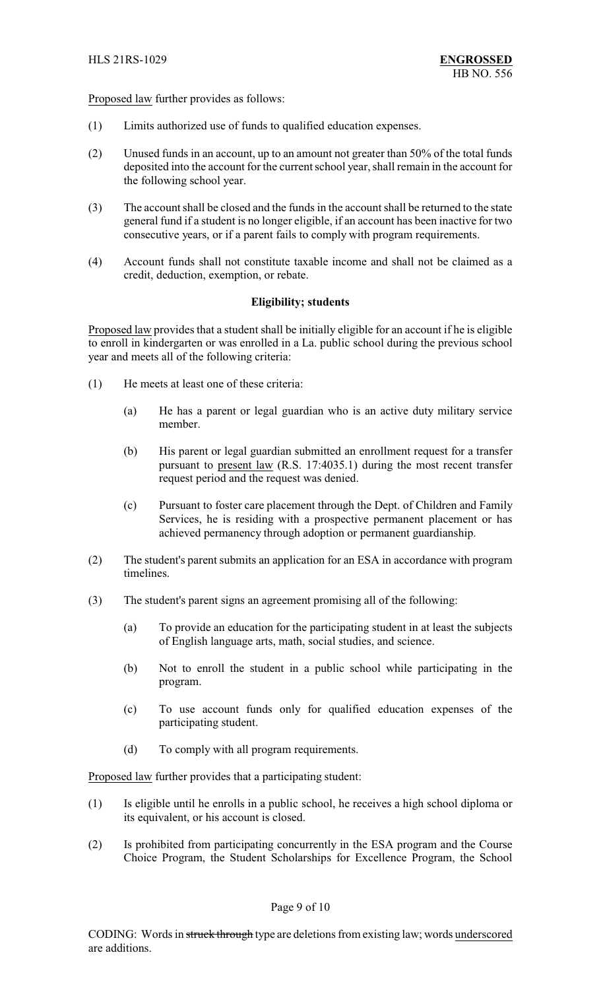Proposed law further provides as follows:

- (1) Limits authorized use of funds to qualified education expenses.
- (2) Unused funds in an account, up to an amount not greater than 50% of the total funds deposited into the account for the current school year, shall remain in the account for the following school year.
- (3) The account shall be closed and the funds in the account shall be returned to the state general fund if a student is no longer eligible, if an account has been inactive for two consecutive years, or if a parent fails to comply with program requirements.
- (4) Account funds shall not constitute taxable income and shall not be claimed as a credit, deduction, exemption, or rebate.

### **Eligibility; students**

Proposed law provides that a student shall be initially eligible for an account if he is eligible to enroll in kindergarten or was enrolled in a La. public school during the previous school year and meets all of the following criteria:

- (1) He meets at least one of these criteria:
	- (a) He has a parent or legal guardian who is an active duty military service member.
	- (b) His parent or legal guardian submitted an enrollment request for a transfer pursuant to present law (R.S. 17:4035.1) during the most recent transfer request period and the request was denied.
	- (c) Pursuant to foster care placement through the Dept. of Children and Family Services, he is residing with a prospective permanent placement or has achieved permanency through adoption or permanent guardianship.
- (2) The student's parent submits an application for an ESA in accordance with program timelines.
- (3) The student's parent signs an agreement promising all of the following:
	- (a) To provide an education for the participating student in at least the subjects of English language arts, math, social studies, and science.
	- (b) Not to enroll the student in a public school while participating in the program.
	- (c) To use account funds only for qualified education expenses of the participating student.
	- (d) To comply with all program requirements.

Proposed law further provides that a participating student:

- (1) Is eligible until he enrolls in a public school, he receives a high school diploma or its equivalent, or his account is closed.
- (2) Is prohibited from participating concurrently in the ESA program and the Course Choice Program, the Student Scholarships for Excellence Program, the School

#### Page 9 of 10